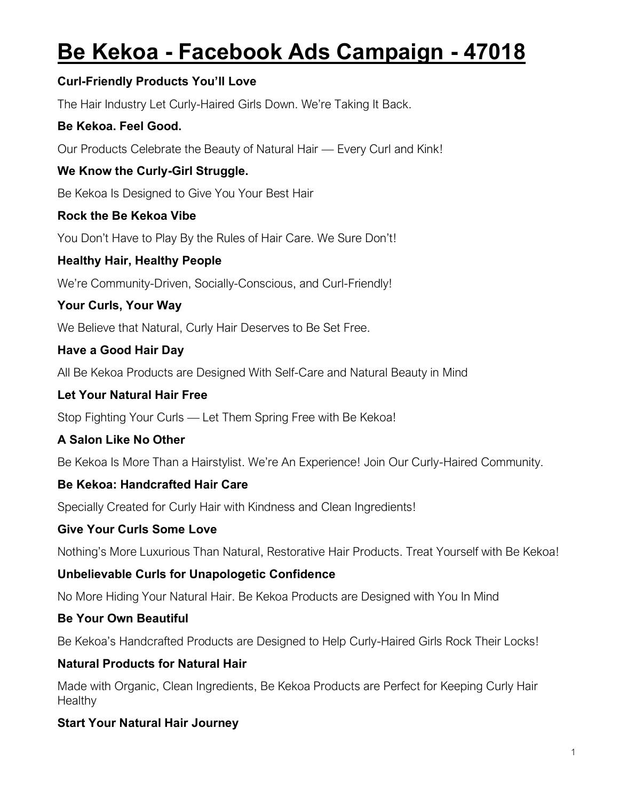# **Be Kekoa - Facebook Ads Campaign - 47018**

#### **Curl-Friendly Products You'll Love**

The Hair Industry Let Curly-Haired Girls Down. We're Taking It Back.

#### **Be Kekoa. Feel Good.**

Our Products Celebrate the Beauty of Natural Hair — Every Curl and Kink!

## **We Know the Curly-Girl Struggle.**

Be Kekoa Is Designed to Give You Your Best Hair

#### **Rock the Be Kekoa Vibe**

You Don't Have to Play By the Rules of Hair Care. We Sure Don't!

## **Healthy Hair, Healthy People**

We're Community-Driven, Socially-Conscious, and Curl-Friendly!

## **Your Curls, Your Way**

We Believe that Natural, Curly Hair Deserves to Be Set Free.

## **Have a Good Hair Day**

All Be Kekoa Products are Designed With Self-Care and Natural Beauty in Mind

## **Let Your Natural Hair Free**

Stop Fighting Your Curls — Let Them Spring Free with Be Kekoa!

## **A Salon Like No Other**

Be Kekoa Is More Than a Hairstylist. We're An Experience! Join Our Curly-Haired Community.

## **Be Kekoa: Handcrafted Hair Care**

Specially Created for Curly Hair with Kindness and Clean Ingredients!

## **Give Your Curls Some Love**

Nothing's More Luxurious Than Natural, Restorative Hair Products. Treat Yourself with Be Kekoa!

## **Unbelievable Curls for Unapologetic Confidence**

No More Hiding Your Natural Hair. Be Kekoa Products are Designed with You In Mind

## **Be Your Own Beautiful**

Be Kekoa's Handcrafted Products are Designed to Help Curly-Haired Girls Rock Their Locks!

## **Natural Products for Natural Hair**

Made with Organic, Clean Ingredients, Be Kekoa Products are Perfect for Keeping Curly Hair **Healthy** 

## **Start Your Natural Hair Journey**